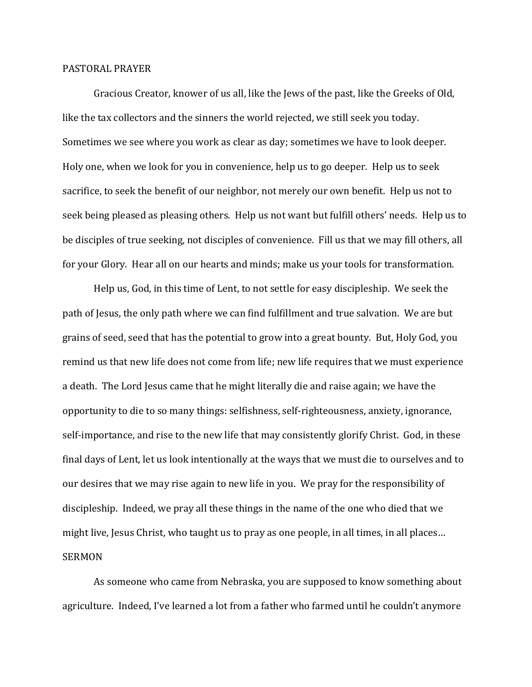## PASTORAL PRAYER

Gracious Creator, knower of us all, like the Jews of the past, like the Greeks of Old, like the tax collectors and the sinners the world rejected, we still seek you today. Sometimes we see where you work as clear as day; sometimes we have to look deeper. Holy one, when we look for you in convenience, help us to go deeper. Help us to seek sacrifice, to seek the benefit of our neighbor, not merely our own benefit. Help us not to seek being pleased as pleasing others. Help us not want but fulfill others' needs. Help us to be disciples of true seeking, not disciples of convenience. Fill us that we may fill others, all for your Glory. Hear all on our hearts and minds; make us your tools for transformation.

Help us, God, in this time of Lent, to not settle for easy discipleship. We seek the path of Jesus, the only path where we can find fulfillment and true salvation. We are but grains of seed, seed that has the potential to grow into a great bounty. But, Holy God, you remind us that new life does not come from life; new life requires that we must experience a death. The Lord Jesus came that he might literally die and raise again; we have the opportunity to die to so many things: selfishness, self-righteousness, anxiety, ignorance, self-importance, and rise to the new life that may consistently glorify Christ. God, in these final days of Lent, let us look intentionally at the ways that we must die to ourselves and to our desires that we may rise again to new life in you. We pray for the responsibility of discipleship. Indeed, we pray all these things in the name of the one who died that we might live, Jesus Christ, who taught us to pray as one people, in all times, in all places… SERMON

As someone who came from Nebraska, you are supposed to know something about agriculture. Indeed, I've learned a lot from a father who farmed until he couldn't anymore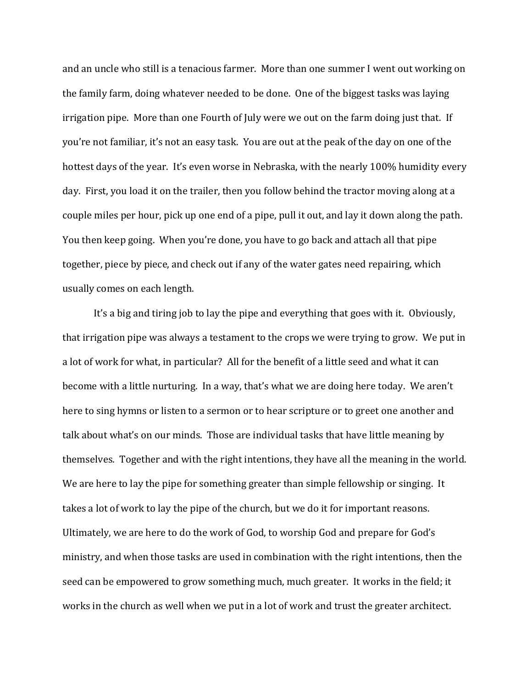and an uncle who still is a tenacious farmer. More than one summer I went out working on the family farm, doing whatever needed to be done. One of the biggest tasks was laying irrigation pipe. More than one Fourth of July were we out on the farm doing just that. If you're not familiar, it's not an easy task. You are out at the peak of the day on one of the hottest days of the year. It's even worse in Nebraska, with the nearly 100% humidity every day. First, you load it on the trailer, then you follow behind the tractor moving along at a couple miles per hour, pick up one end of a pipe, pull it out, and lay it down along the path. You then keep going. When you're done, you have to go back and attach all that pipe together, piece by piece, and check out if any of the water gates need repairing, which usually comes on each length.

It's a big and tiring job to lay the pipe and everything that goes with it. Obviously, that irrigation pipe was always a testament to the crops we were trying to grow. We put in a lot of work for what, in particular? All for the benefit of a little seed and what it can become with a little nurturing. In a way, that's what we are doing here today. We aren't here to sing hymns or listen to a sermon or to hear scripture or to greet one another and talk about what's on our minds. Those are individual tasks that have little meaning by themselves. Together and with the right intentions, they have all the meaning in the world. We are here to lay the pipe for something greater than simple fellowship or singing. It takes a lot of work to lay the pipe of the church, but we do it for important reasons. Ultimately, we are here to do the work of God, to worship God and prepare for God's ministry, and when those tasks are used in combination with the right intentions, then the seed can be empowered to grow something much, much greater. It works in the field; it works in the church as well when we put in a lot of work and trust the greater architect.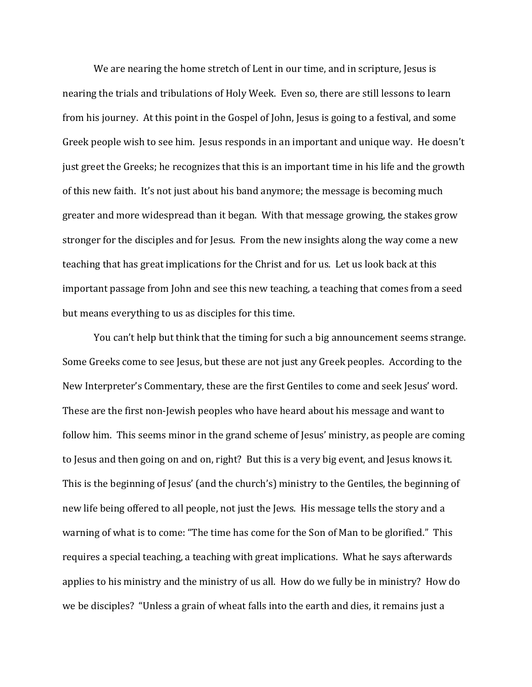We are nearing the home stretch of Lent in our time, and in scripture, Jesus is nearing the trials and tribulations of Holy Week. Even so, there are still lessons to learn from his journey. At this point in the Gospel of John, Jesus is going to a festival, and some Greek people wish to see him. Jesus responds in an important and unique way. He doesn't just greet the Greeks; he recognizes that this is an important time in his life and the growth of this new faith. It's not just about his band anymore; the message is becoming much greater and more widespread than it began. With that message growing, the stakes grow stronger for the disciples and for Jesus. From the new insights along the way come a new teaching that has great implications for the Christ and for us. Let us look back at this important passage from John and see this new teaching, a teaching that comes from a seed but means everything to us as disciples for this time.

You can't help but think that the timing for such a big announcement seems strange. Some Greeks come to see Jesus, but these are not just any Greek peoples. According to the New Interpreter's Commentary, these are the first Gentiles to come and seek Jesus' word. These are the first non-Jewish peoples who have heard about his message and want to follow him. This seems minor in the grand scheme of Jesus' ministry, as people are coming to Jesus and then going on and on, right? But this is a very big event, and Jesus knows it. This is the beginning of Jesus' (and the church's) ministry to the Gentiles, the beginning of new life being offered to all people, not just the Jews. His message tells the story and a warning of what is to come: "The time has come for the Son of Man to be glorified." This requires a special teaching, a teaching with great implications. What he says afterwards applies to his ministry and the ministry of us all. How do we fully be in ministry? How do we be disciples? "Unless a grain of wheat falls into the earth and dies, it remains just a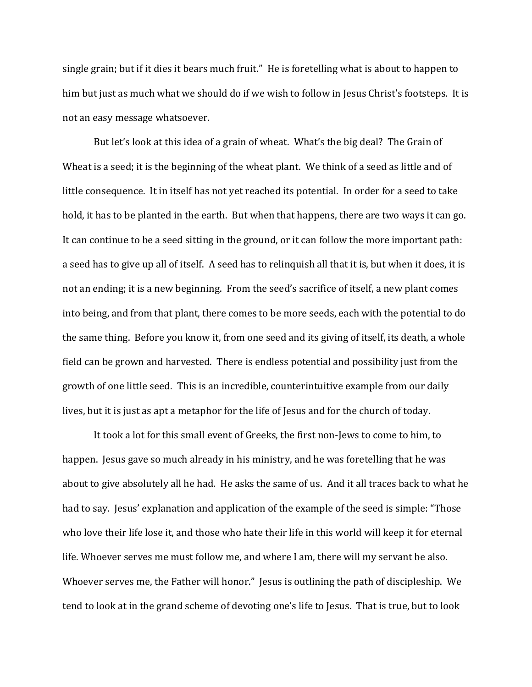single grain; but if it dies it bears much fruit." He is foretelling what is about to happen to him but just as much what we should do if we wish to follow in Jesus Christ's footsteps. It is not an easy message whatsoever.

But let's look at this idea of a grain of wheat. What's the big deal? The Grain of Wheat is a seed; it is the beginning of the wheat plant. We think of a seed as little and of little consequence. It in itself has not yet reached its potential. In order for a seed to take hold, it has to be planted in the earth. But when that happens, there are two ways it can go. It can continue to be a seed sitting in the ground, or it can follow the more important path: a seed has to give up all of itself. A seed has to relinquish all that it is, but when it does, it is not an ending; it is a new beginning. From the seed's sacrifice of itself, a new plant comes into being, and from that plant, there comes to be more seeds, each with the potential to do the same thing. Before you know it, from one seed and its giving of itself, its death, a whole field can be grown and harvested. There is endless potential and possibility just from the growth of one little seed. This is an incredible, counterintuitive example from our daily lives, but it is just as apt a metaphor for the life of Jesus and for the church of today.

It took a lot for this small event of Greeks, the first non-Jews to come to him, to happen. Jesus gave so much already in his ministry, and he was foretelling that he was about to give absolutely all he had. He asks the same of us. And it all traces back to what he had to say. Jesus' explanation and application of the example of the seed is simple: "Those who love their life lose it, and those who hate their life in this world will keep it for eternal life. Whoever serves me must follow me, and where I am, there will my servant be also. Whoever serves me, the Father will honor." Jesus is outlining the path of discipleship. We tend to look at in the grand scheme of devoting one's life to Jesus. That is true, but to look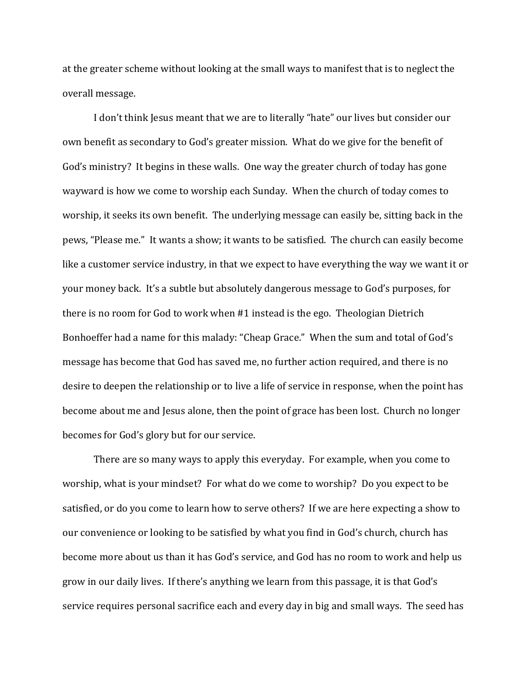at the greater scheme without looking at the small ways to manifest that is to neglect the overall message.

I don't think Jesus meant that we are to literally "hate" our lives but consider our own benefit as secondary to God's greater mission. What do we give for the benefit of God's ministry? It begins in these walls. One way the greater church of today has gone wayward is how we come to worship each Sunday. When the church of today comes to worship, it seeks its own benefit. The underlying message can easily be, sitting back in the pews, "Please me." It wants a show; it wants to be satisfied. The church can easily become like a customer service industry, in that we expect to have everything the way we want it or your money back. It's a subtle but absolutely dangerous message to God's purposes, for there is no room for God to work when #1 instead is the ego. Theologian Dietrich Bonhoeffer had a name for this malady: "Cheap Grace." When the sum and total of God's message has become that God has saved me, no further action required, and there is no desire to deepen the relationship or to live a life of service in response, when the point has become about me and Jesus alone, then the point of grace has been lost. Church no longer becomes for God's glory but for our service.

There are so many ways to apply this everyday. For example, when you come to worship, what is your mindset? For what do we come to worship? Do you expect to be satisfied, or do you come to learn how to serve others? If we are here expecting a show to our convenience or looking to be satisfied by what you find in God's church, church has become more about us than it has God's service, and God has no room to work and help us grow in our daily lives. If there's anything we learn from this passage, it is that God's service requires personal sacrifice each and every day in big and small ways. The seed has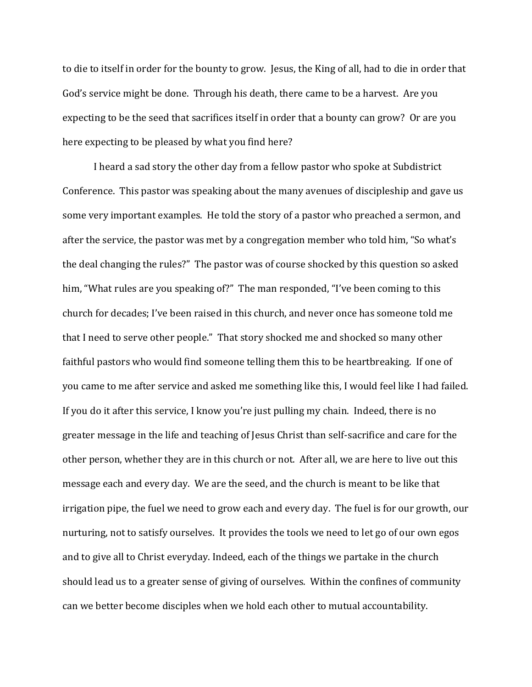to die to itself in order for the bounty to grow. Jesus, the King of all, had to die in order that God's service might be done. Through his death, there came to be a harvest. Are you expecting to be the seed that sacrifices itself in order that a bounty can grow? Or are you here expecting to be pleased by what you find here?

I heard a sad story the other day from a fellow pastor who spoke at Subdistrict Conference. This pastor was speaking about the many avenues of discipleship and gave us some very important examples. He told the story of a pastor who preached a sermon, and after the service, the pastor was met by a congregation member who told him, "So what's the deal changing the rules?" The pastor was of course shocked by this question so asked him, "What rules are you speaking of?" The man responded, "I've been coming to this church for decades; I've been raised in this church, and never once has someone told me that I need to serve other people." That story shocked me and shocked so many other faithful pastors who would find someone telling them this to be heartbreaking. If one of you came to me after service and asked me something like this, I would feel like I had failed. If you do it after this service, I know you're just pulling my chain. Indeed, there is no greater message in the life and teaching of Jesus Christ than self-sacrifice and care for the other person, whether they are in this church or not. After all, we are here to live out this message each and every day. We are the seed, and the church is meant to be like that irrigation pipe, the fuel we need to grow each and every day. The fuel is for our growth, our nurturing, not to satisfy ourselves. It provides the tools we need to let go of our own egos and to give all to Christ everyday. Indeed, each of the things we partake in the church should lead us to a greater sense of giving of ourselves. Within the confines of community can we better become disciples when we hold each other to mutual accountability.